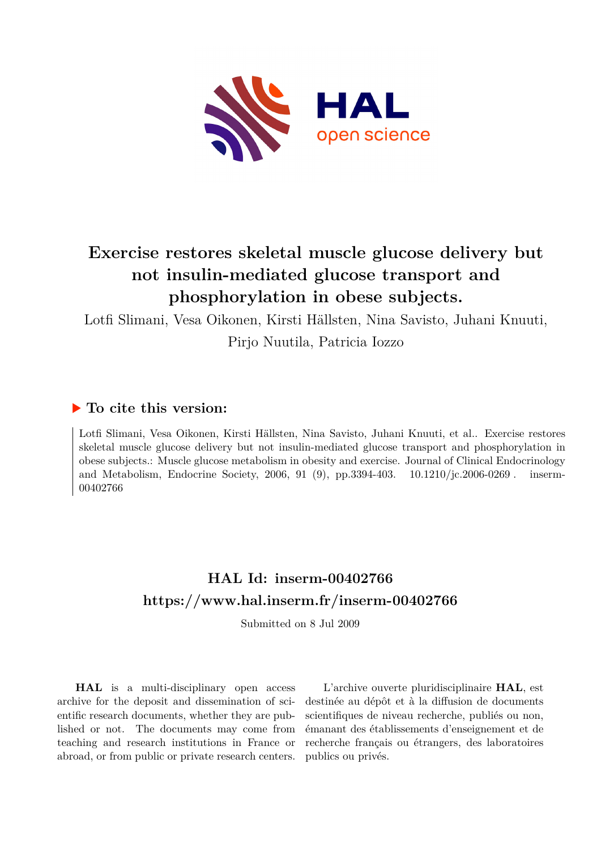

# **Exercise restores skeletal muscle glucose delivery but not insulin-mediated glucose transport and phosphorylation in obese subjects.**

Lotfi Slimani, Vesa Oikonen, Kirsti Hällsten, Nina Savisto, Juhani Knuuti,

Pirjo Nuutila, Patricia Iozzo

# **To cite this version:**

Lotfi Slimani, Vesa Oikonen, Kirsti Hällsten, Nina Savisto, Juhani Knuuti, et al.. Exercise restores skeletal muscle glucose delivery but not insulin-mediated glucose transport and phosphorylation in obese subjects.: Muscle glucose metabolism in obesity and exercise. Journal of Clinical Endocrinology and Metabolism, Endocrine Society, 2006, 91 (9), pp.3394-403.  $10.1210/jc.2006-0269$ . inserm-00402766

# **HAL Id: inserm-00402766 <https://www.hal.inserm.fr/inserm-00402766>**

Submitted on 8 Jul 2009

**HAL** is a multi-disciplinary open access archive for the deposit and dissemination of scientific research documents, whether they are published or not. The documents may come from teaching and research institutions in France or abroad, or from public or private research centers.

L'archive ouverte pluridisciplinaire **HAL**, est destinée au dépôt et à la diffusion de documents scientifiques de niveau recherche, publiés ou non, émanant des établissements d'enseignement et de recherche français ou étrangers, des laboratoires publics ou privés.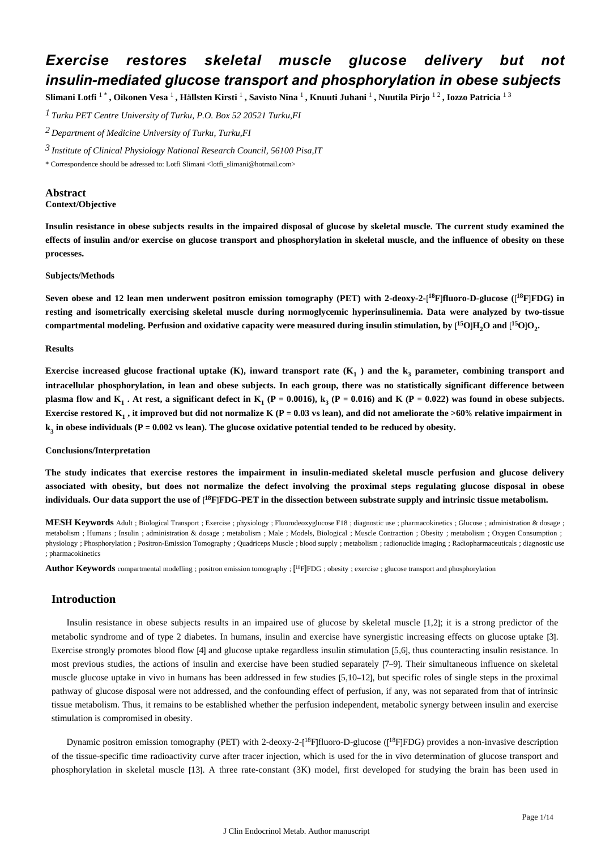# *Exercise restores skeletal muscle glucose delivery but not insulin-mediated glucose transport and phosphorylation in obese subjects*

Slimani Lotfi  $1^*$ , Oikonen Vesa  $^1$ , Hällsten Kirsti  $^1$ , Savisto Nina  $^1$ , Knuuti Juhani  $^1$ , Nuutila Pirjo  $^{1\,2}$ , Iozzo Patricia  $^{1\,3}$ 

*Turku PET Centre 1 University of Turku, P.O. Box 52 20521 Turku,FI*

*Department of Medicine 2 University of Turku, Turku,FI*

*Institute of Clinical Physiology 3 National Research Council, 56100 Pisa,IT*

\* Correspondence should be adressed to: Lotfi Slimani <lotfi\_slimani@hotmail.com>

## **Abstract Context/Objective**

**Insulin resistance in obese subjects results in the impaired disposal of glucose by skeletal muscle. The current study examined the effects of insulin and/or exercise on glucose transport and phosphorylation in skeletal muscle, and the influence of obesity on these processes.**

### **Subjects/Methods**

Seven obese and 12 lean men underwent positron emission tomography (PET) with 2-deoxy-2-[<sup>18</sup>F]fluoro-D-glucose ([<sup>18</sup>F]FDG) in **resting and isometrically exercising skeletal muscle during normoglycemic hyperinsulinemia. Data were analyzed by two-tissue**  $\rm{compartmental\ modeling.}$  Perfusion and oxidative capacity were measured during insulin stimulation, by  $\rm{[^15O]H}_2O$  and  $\rm{[^15O]O}_2$ 

### **Results**

Exercise increased glucose fractional uptake (K), inward transport rate (K<sub>1</sub>) and the k<sub>3</sub> parameter, combining transport and **intracellular phosphorylation, in lean and obese subjects. In each group, there was no statistically significant difference between plasma flow and**  $K_1$  **. At rest, a significant defect in**  $K_1$  **(P = 0.0016),**  $k_3$  **(P = 0.016) and K (P = 0.022) was found in obese subjects. Exercise restored K<sub>1</sub>, it improved but did not normalize K (P = 0.03 vs lean), and did not ameliorate the >60% relative impairment in**  $\mathbf{k}_3$  in obese individuals (P = 0.002 vs lean). The glucose oxidative potential tended to be reduced by obesity.

### **Conclusions/Interpretation**

**The study indicates that exercise restores the impairment in insulin-mediated skeletal muscle perfusion and glucose delivery associated with obesity, but does not normalize the defect involving the proximal steps regulating glucose disposal in obese** individuals. Our data support the use of [<sup>18</sup>F]FDG-PET in the dissection between substrate supply and intrinsic tissue metabolism.

**MESH Keywords** Adult ; Biological Transport ; Exercise ; physiology ; Fluorodeoxyglucose F18 ; diagnostic use ; pharmacokinetics ; Glucose ; administration & dosage ; metabolism ; Humans ; Insulin ; administration & dosage ; metabolism ; Male ; Models, Biological ; Muscle Contraction ; Obesity ; metabolism ; Oxygen Consumption ; physiology ; Phosphorylation ; Positron-Emission Tomography ; Quadriceps Muscle ; blood supply ; metabolism ; radionuclide imaging ; Radiopharmaceuticals ; diagnostic use ; pharmacokinetics

**Author Keywords** compartmental modelling ; positron emission tomography ; [ <sup>18</sup>F]FDG ; obesity ; exercise ; glucose transport and phosphorylation

# **Introduction**

Insulin resistance in obese subjects results in an impaired use of glucose by skeletal muscle [1,2]; it is a strong predictor of the metabolic syndrome and of type 2 diabetes. In humans, insulin and exercise have synergistic increasing effects on glucose uptake [3]. Exercise strongly promotes blood flow [4] and glucose uptake regardless insulin stimulation [5,6], thus counteracting insulin resistance. In most previous studies, the actions of insulin and exercise have been studied separately [7–9]. Their simultaneous influence on skeletal muscle glucose uptake in vivo in humans has been addressed in few studies [5,10–12], but specific roles of single steps in the proximal pathway of glucose disposal were not addressed, and the confounding effect of perfusion, if any, was not separated from that of intrinsic tissue metabolism. Thus, it remains to be established whether the perfusion independent, metabolic synergy between insulin and exercise stimulation is compromised in obesity.

Dynamic positron emission tomography (PET) with 2-deoxy-2-[<sup>18</sup>F]fluoro-D-glucose ([<sup>18</sup>F]FDG) provides a non-invasive description of the tissue-specific time radioactivity curve after tracer injection, which is used for the in vivo determination of glucose transport and phosphorylation in skeletal muscle [13]. A three rate-constant (3K) model, first developed for studying the brain has been used in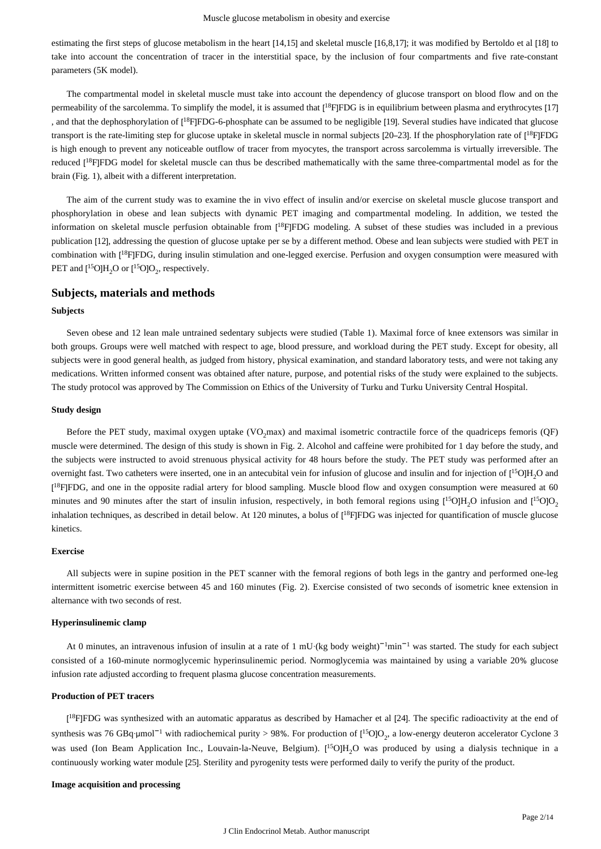estimating the first steps of glucose metabolism in the heart [14,15] and skeletal muscle [16,8,17]; it was modified by Bertoldo et al [18] to take into account the concentration of tracer in the interstitial space, by the inclusion of four compartments and five rate-constant parameters (5K model).

The compartmental model in skeletal muscle must take into account the dependency of glucose transport on blood flow and on the permeability of the sarcolemma. To simplify the model, it is assumed that  $[{}^{18}$ F|FDG is in equilibrium between plasma and erythrocytes [17] , and that the dephosphorylation of [<sup>18</sup>F]FDG-6-phosphate can be assumed to be negligible [19]. Several studies have indicated that glucose transport is the rate-limiting step for glucose uptake in skeletal muscle in normal subjects [20–23]. If the phosphorylation rate of [<sup>18</sup>F]FDG is high enough to prevent any noticeable outflow of tracer from myocytes, the transport across sarcolemma is virtually irreversible. The reduced [<sup>18</sup>F]FDG model for skeletal muscle can thus be described mathematically with the same three-compartmental model as for the brain (Fig. 1), albeit with a different interpretation.

The aim of the current study was to examine the in vivo effect of insulin and/or exercise on skeletal muscle glucose transport and phosphorylation in obese and lean subjects with dynamic PET imaging and compartmental modeling. In addition, we tested the information on skeletal muscle perfusion obtainable from [<sup>18</sup>F]FDG modeling. A subset of these studies was included in a previous publication [12], addressing the question of glucose uptake per se by a different method. Obese and lean subjects were studied with PET in combination with [<sup>18</sup>F]FDG, during insulin stimulation and one-legged exercise. Perfusion and oxygen consumption were measured with PET and  $[{}^{15}O]H_2O$  or  $[{}^{15}O]O_2$ , respectively.

# **Subjects, materials and methods**

#### **Subjects**

Seven obese and 12 lean male untrained sedentary subjects were studied (Table 1). Maximal force of knee extensors was similar in both groups. Groups were well matched with respect to age, blood pressure, and workload during the PET study. Except for obesity, all subjects were in good general health, as judged from history, physical examination, and standard laboratory tests, and were not taking any medications. Written informed consent was obtained after nature, purpose, and potential risks of the study were explained to the subjects. The study protocol was approved by The Commission on Ethics of the University of Turku and Turku University Central Hospital.

#### **Study design**

Before the PET study, maximal oxygen uptake (VO<sub>2</sub>max) and maximal isometric contractile force of the quadriceps femoris (QF) muscle were determined. The design of this study is shown in Fig. 2. Alcohol and caffeine were prohibited for 1 day before the study, and the subjects were instructed to avoid strenuous physical activity for 48 hours before the study. The PET study was performed after an overnight fast. Two catheters were inserted, one in an antecubital vein for infusion of glucose and insulin and for injection of  $[{}^{15}O]H_2O$  and [<sup>18</sup>F]FDG, and one in the opposite radial artery for blood sampling. Muscle blood flow and oxygen consumption were measured at 60 minutes and 90 minutes after the start of insulin infusion, respectively, in both femoral regions using  $[^{15}O]H_2O$  infusion and  $[^{15}O]O_2$ inhalation techniques, as described in detail below. At 120 minutes, a bolus of  $[{}^{18}$ F|FDG was injected for quantification of muscle glucose kinetics.

#### **Exercise**

All subjects were in supine position in the PET scanner with the femoral regions of both legs in the gantry and performed one-leg intermittent isometric exercise between 45 and 160 minutes (Fig. 2). Exercise consisted of two seconds of isometric knee extension in alternance with two seconds of rest.

## **Hyperinsulinemic clamp**

At 0 minutes, an intravenous infusion of insulin at a rate of 1 mU·(kg body weight) $^{-1}$ min $^{-1}$  was started. The study for each subject consisted of a 160-minute normoglycemic hyperinsulinemic period. Normoglycemia was maintained by using a variable 20% glucose infusion rate adjusted according to frequent plasma glucose concentration measurements.

#### **Production of PET tracers**

[<sup>18</sup>F]FDG was synthesized with an automatic apparatus as described by Hamacher et al [24]. The specific radioactivity at the end of synthesis was 76 GBq·µmol<sup>-1</sup> with radiochemical purity > 98%. For production of  $[^{15}O]O_2$ , a low-energy deuteron accelerator Cyclone 3 was used (Ion Beam Application Inc., Louvain-la-Neuve, Belgium).  $[{}^{15}O]H_2O$  was produced by using a dialysis technique in a continuously working water module [25]. Sterility and pyrogenity tests were performed daily to verify the purity of the product.

#### **Image acquisition and processing**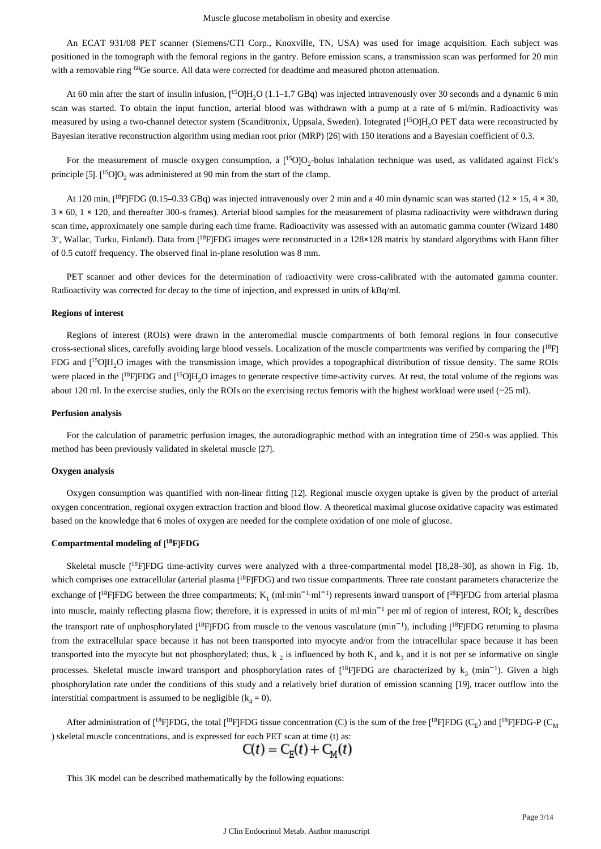An ECAT 931/08 PET scanner (Siemens/CTI Corp., Knoxville, TN, USA) was used for image acquisition. Each subject was positioned in the tomograph with the femoral regions in the gantry. Before emission scans, a transmission scan was performed for 20 min with a removable ring <sup>68</sup>Ge source. All data were corrected for deadtime and measured photon attenuation.

At 60 min after the start of insulin infusion,  $[{}^{15}O]H_2O (1.1-1.7 GBq)$  was injected intravenously over 30 seconds and a dynamic 6 min scan was started. To obtain the input function, arterial blood was withdrawn with a pump at a rate of 6 ml/min. Radioactivity was measured by using a two-channel detector system (Scanditronix, Uppsala, Sweden). Integrated  $[{}^{15}O]H_2O$  PET data were reconstructed by Bayesian iterative reconstruction algorithm using median root prior (MRP) [26] with 150 iterations and a Bayesian coefficient of 0.3.

For the measurement of muscle oxygen consumption, a  $[{}^{15}O]O_2$ -bolus inhalation technique was used, as validated against Fick's principle [5].  $[{}^{15}O]O_2$  was administered at 90 min from the start of the clamp.

At 120 min,  $[{}^{18}F]FDG$  (0.15–0.33 GBq) was injected intravenously over 2 min and a 40 min dynamic scan was started (12 × 15, 4 × 30, 3 × 60, 1 × 120, and thereafter 300-s frames). Arterial blood samples for the measurement of plasma radioactivity were withdrawn during scan time, approximately one sample during each time frame. Radioactivity was assessed with an automatic gamma counter (Wizard 1480 3", Wallac, Turku, Finland). Data from [<sup>18</sup>F]FDG images were reconstructed in a 128×128 matrix by standard algorythms with Hann filter of 0.5 cutoff frequency. The observed final in-plane resolution was 8 mm.

PET scanner and other devices for the determination of radioactivity were cross-calibrated with the automated gamma counter. Radioactivity was corrected for decay to the time of injection, and expressed in units of kBq/ml.

#### **Regions of interest**

Regions of interest (ROIs) were drawn in the anteromedial muscle compartments of both femoral regions in four consecutive cross-sectional slices, carefully avoiding large blood vessels. Localization of the muscle compartments was verified by comparing the  $[1^8F]$ FDG and  $[{}^{15}O]H_2O$  images with the transmission image, which provides a topographical distribution of tissue density. The same ROIs were placed in the  $[{}^{18}F]FDG$  and  $[{}^{15}O]H_2O$  images to generate respective time-activity curves. At rest, the total volume of the regions was about 120 ml. In the exercise studies, only the ROIs on the exercising rectus femoris with the highest workload were used  $(-25 \text{ ml})$ .

#### **Perfusion analysis**

For the calculation of parametric perfusion images, the autoradiographic method with an integration time of 250-s was applied. This method has been previously validated in skeletal muscle [27].

#### **Oxygen analysis**

Oxygen consumption was quantified with non-linear fitting [12]. Regional muscle oxygen uptake is given by the product of arterial oxygen concentration, regional oxygen extraction fraction and blood flow. A theoretical maximal glucose oxidative capacity was estimated based on the knowledge that 6 moles of oxygen are needed for the complete oxidation of one mole of glucose.

#### **Compartmental modeling of** [ **<sup>18</sup>F**]**FDG**

Skeletal muscle  $[{}^{18}F]FDG$  time-activity curves were analyzed with a three-compartmental model  $[18,28-30]$ , as shown in Fig. 1b, which comprises one extracellular (arterial plasma  $[$ <sup>18</sup>F<sub>IFDG</sub>) and two tissue compartments. Three rate constant parameters characterize the exchange of  $[{}^{18}F]FDG$  between the three compartments;  $K_1$  (ml·min<sup>-1</sup>·ml<sup>-1</sup>) represents inward transport of  $[{}^{18}F]FDG$  from arterial plasma into muscle, mainly reflecting plasma flow; therefore, it is expressed in units of ml·min<sup>-1</sup> per ml of region of interest, ROI; k<sub>2</sub> describes the transport rate of unphosphorylated [<sup>18</sup>F]FDG from muscle to the venous vasculature (min<sup>-1</sup>), including [<sup>18</sup>F]FDG returning to plasma from the extracellular space because it has not been transported into myocyte and/or from the intracellular space because it has been transported into the myocyte but not phosphorylated; thus,  $k_2$  is influenced by both  $K_1$  and  $k_3$  and it is not per se informative on single processes. Skeletal muscle inward transport and phosphorylation rates of  $[^{18}F]FDG$  are characterized by  $k_3$  (min<sup>-1</sup>). Given a high phosphorylation rate under the conditions of this study and a relatively brief duration of emission scanning [19], tracer outflow into the interstitial compartment is assumed to be negligible  $(k_4 = 0)$ .

After administration of  $[{}^{18}F]FDG$ , the total  $[{}^{18}F]FDG$  tissue concentration (C) is the sum of the free  $[{}^{18}F]FDG$  (C<sub>E</sub>) and  $[{}^{18}F]FDG$ -P (C<sub>M</sub> ) skeletal muscle concentrations, and is expressed for each PET scan at time (t) as:

$$
C(t) = C_E(t) + C_M(t)
$$

This 3K model can be described mathematically by the following equations: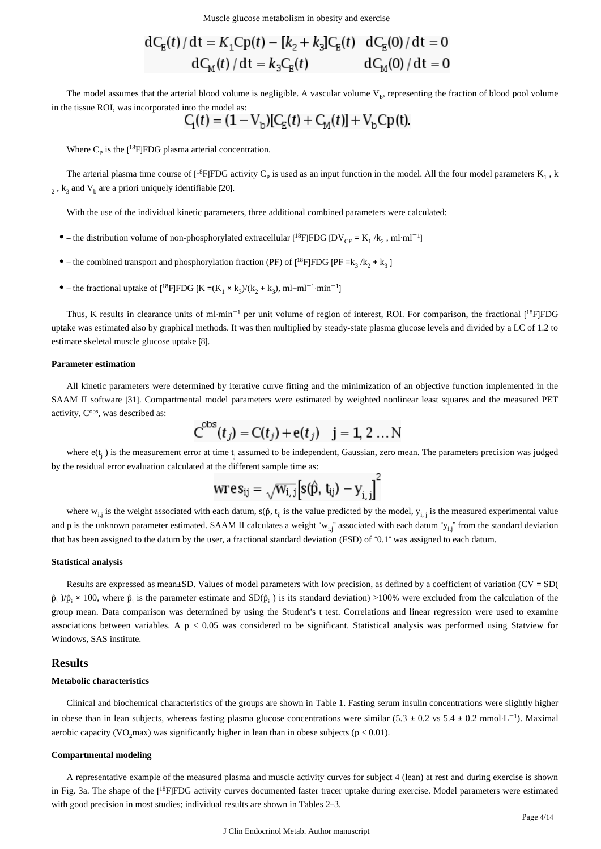Muscle glucose metabolism in obesity and exercise

$$
dC_{E}(t)/dt = K_{1}Cp(t) - [k_{2} + k_{3}]C_{E}(t) \, dC_{E}(0)/dt = 0
$$
  

$$
dC_{M}(t)/dt = k_{3}C_{E}(t) \, dC_{M}(0)/dt = 0
$$

The model assumes that the arterial blood volume is negligible. A vascular volume  $V<sub>b</sub>$ , representing the fraction of blood pool volume in the tissue ROI, was incorporated into the model as:

$$
C_{\rm i}(t) = (1 - V_{\rm b})[C_{\rm E}(t) + C_{\rm M}(t)] + V_{\rm b}C_{\rm p}(t).
$$

Where  $C_p$  is the [<sup>18</sup>F]FDG plasma arterial concentration.

The arterial plasma time course of  $[{}^{18}F]FDG$  activity  $C_p$  is used as an input function in the model. All the four model parameters  $K_1$ , k  $_{2}$ ,  $\mathrm{k}_{3}$  and  $\mathrm{V}_{\mathrm{b}}$  are a priori uniquely identifiable [20].

With the use of the individual kinetic parameters, three additional combined parameters were calculated:

- the distribution volume of non-phosphorylated extracellular  $[{}^{18}F]FDG$   $[DV_{CE} = K_1 / k_2$ , ml·ml<sup>-1</sup>]
- the combined transport and phosphorylation fraction (PF) of  $[{}^{18}F]FDG$  [PF =  $k_3 / k_2 + k_3$ ]
- the fractional uptake of  $[^{18}F]FDG[K = (K_1 \times k_3)/(k_2 + k_3), ml ml^{-1}·min^{-1}]$

Thus, K results in clearance units of ml·min<sup>-1</sup> per unit volume of region of interest, ROI. For comparison, the fractional [<sup>18</sup>F]FDG uptake was estimated also by graphical methods. It was then multiplied by steady-state plasma glucose levels and divided by a LC of 1.2 to estimate skeletal muscle glucose uptake [8].

#### **Parameter estimation**

All kinetic parameters were determined by iterative curve fitting and the minimization of an objective function implemented in the SAAM II software [31]. Compartmental model parameters were estimated by weighted nonlinear least squares and the measured PET activity, C<sup>obs</sup>, was described as:

$$
C^{obs}(t_j) = C(t_j) + e(t_j)
$$
 j = 1, 2 ... N

where  $e(t_i)$  is the measurement error at time  $t_i$  assumed to be independent, Gaussian, zero mean. The parameters precision was judged by the residual error evaluation calculated at the different sample time as:

$$
\text{wres}_{ij} = \sqrt{w_{i,j}} \Big[ s(\hat{p}, t_{ij}) - y_{i,j} \Big]^2
$$

where  $w_{i,j}$  is the weight associated with each datum,  $s(\hat{p}, t_{ij})$  is the value predicted by the model,  $y_{i,j}$  is the measured experimental value and p is the unknown parameter estimated. SAAM II calculates a weight " $w_{i,j}$ " associated with each datum " $y_{i,j}$ " from the standard deviation that has been assigned to the datum by the user, a fractional standard deviation (FSD) of "0.1" was assigned to each datum.

#### **Statistical analysis**

Results are expressed as mean±SD. Values of model parameters with low precision, as defined by a coefficient of variation (CV = SD(  $\hat{p}_i$   $/\hat{p}_i \times 100$ , where  $\hat{p}_i$  is the parameter estimate and SD( $\hat{p}_i$ ) is its standard deviation) >100% were excluded from the calculation of the group mean. Data comparison was determined by using the Student's t test. Correlations and linear regression were used to examine associations between variables. A  $p < 0.05$  was considered to be significant. Statistical analysis was performed using Statview for Windows, SAS institute.

# **Results**

#### **Metabolic characteristics**

Clinical and biochemical characteristics of the groups are shown in Table 1. Fasting serum insulin concentrations were slightly higher in obese than in lean subjects, whereas fasting plasma glucose concentrations were similar (5.3 ± 0.2 vs 5.4 ± 0.2 mmol·L<sup>-1</sup>). Maximal aerobic capacity (VO<sub>2</sub>max) was significantly higher in lean than in obese subjects ( $p < 0.01$ ).

## **Compartmental modeling**

A representative example of the measured plasma and muscle activity curves for subject 4 (lean) at rest and during exercise is shown in Fig. 3a. The shape of the [<sup>18</sup>F]FDG activity curves documented faster tracer uptake during exercise. Model parameters were estimated with good precision in most studies; individual results are shown in Tables 2–3.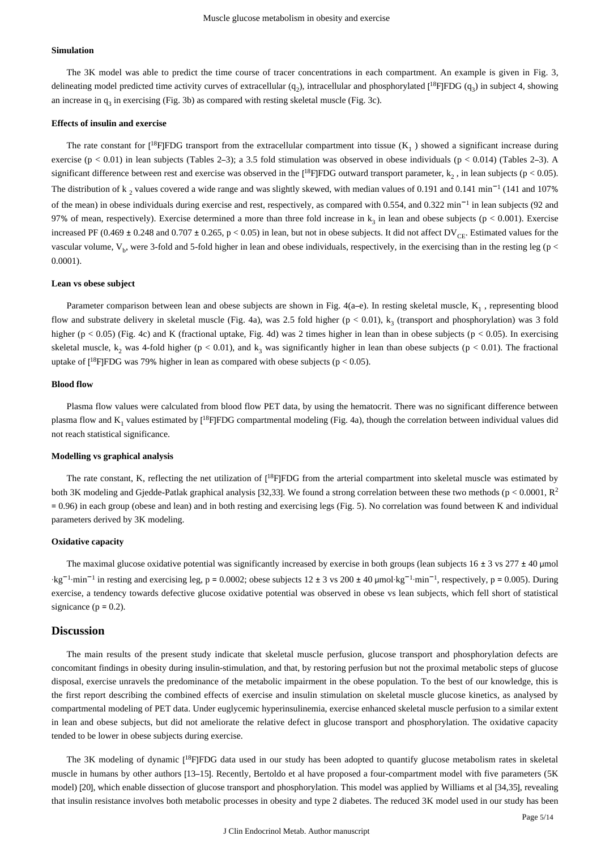#### **Simulation**

The 3K model was able to predict the time course of tracer concentrations in each compartment. An example is given in Fig. 3, delineating model predicted time activity curves of extracellular  $(q_2)$ , intracellular and phosphorylated  $[{}^{18}F]FDG$   $(q_3)$  in subject 4, showing an increase in  $q_3$  in exercising (Fig. 3b) as compared with resting skeletal muscle (Fig. 3c).

#### **Effects of insulin and exercise**

The rate constant for  $[{}^{18}F]FDG$  transport from the extracellular compartment into tissue ( $K_1$ ) showed a significant increase during exercise (p < 0.01) in lean subjects (Tables 2–3); a 3.5 fold stimulation was observed in obese individuals (p < 0.014) (Tables 2–3). A significant difference between rest and exercise was observed in the  $[^{18}F]FDG$  outward transport parameter,  $k_2$ , in lean subjects ( $p < 0.05$ ). The distribution of  $k_2$  values covered a wide range and was slightly skewed, with median values of 0.191 and 0.141 min<sup>-1</sup> (141 and 107%) of the mean) in obese individuals during exercise and rest, respectively, as compared with 0.554, and 0.322 min<sup>-1</sup> in lean subjects (92 and 97% of mean, respectively). Exercise determined a more than three fold increase in  $k_3$  in lean and obese subjects ( $p < 0.001$ ). Exercise increased PF (0.469  $\pm$  0.248 and 0.707  $\pm$  0.265, p < 0.05) in lean, but not in obese subjects. It did not affect DV<sub>CE</sub>. Estimated values for the vascular volume,  $V_b$ , were 3-fold and 5-fold higher in lean and obese individuals, respectively, in the exercising than in the resting leg ( $p <$ 0.0001).

#### **Lean vs obese subject**

Parameter comparison between lean and obese subjects are shown in Fig. 4(a–e). In resting skeletal muscle,  $K_1$ , representing blood flow and substrate delivery in skeletal muscle (Fig. 4a), was 2.5 fold higher ( $p < 0.01$ ),  $k<sub>2</sub>$  (transport and phosphorylation) was 3 fold higher ( $p < 0.05$ ) (Fig. 4c) and K (fractional uptake, Fig. 4d) was 2 times higher in lean than in obese subjects ( $p < 0.05$ ). In exercising skeletal muscle,  $k_2$  was 4-fold higher ( $p < 0.01$ ), and  $k_3$  was significantly higher in lean than obese subjects ( $p < 0.01$ ). The fractional uptake of  $[{}^{18}F]FDG$  was 79% higher in lean as compared with obese subjects ( $p < 0.05$ ).

#### **Blood flow**

Plasma flow values were calculated from blood flow PET data, by using the hematocrit. There was no significant difference between plasma flow and  $K_1$  values estimated by  $[{}^{18}F]FDG$  compartmental modeling (Fig. 4a), though the correlation between individual values did not reach statistical significance.

#### **Modelling vs graphical analysis**

The rate constant, K, reflecting the net utilization of  $[{}^{18}$ FJFDG from the arterial compartment into skeletal muscle was estimated by both 3K modeling and Gjedde-Patlak graphical analysis [32,33]. We found a strong correlation between these two methods ( $p < 0.0001$ ,  $R^2$ ) = 0.96) in each group (obese and lean) and in both resting and exercising legs (Fig. 5). No correlation was found between K and individual parameters derived by 3K modeling.

#### **Oxidative capacity**

The maximal glucose oxidative potential was significantly increased by exercise in both groups (lean subjects  $16 \pm 3$  vs  $277 \pm 40$  µmol  $\text{kg}^{-1} \cdot \text{min}^{-1}$  in resting and exercising leg, p = 0.0002; obese subjects 12 ± 3 vs 200 ± 40 µmol·kg<sup>-1</sup>·min<sup>-1</sup>, respectively, p = 0.005). During exercise, a tendency towards defective glucose oxidative potential was observed in obese vs lean subjects, which fell short of statistical signicance ( $p = 0.2$ ).

### **Discussion**

The main results of the present study indicate that skeletal muscle perfusion, glucose transport and phosphorylation defects are concomitant findings in obesity during insulin-stimulation, and that, by restoring perfusion but not the proximal metabolic steps of glucose disposal, exercise unravels the predominance of the metabolic impairment in the obese population. To the best of our knowledge, this is the first report describing the combined effects of exercise and insulin stimulation on skeletal muscle glucose kinetics, as analysed by compartmental modeling of PET data. Under euglycemic hyperinsulinemia, exercise enhanced skeletal muscle perfusion to a similar extent in lean and obese subjects, but did not ameliorate the relative defect in glucose transport and phosphorylation. The oxidative capacity tended to be lower in obese subjects during exercise.

The 3K modeling of dynamic [<sup>18</sup>F]FDG data used in our study has been adopted to quantify glucose metabolism rates in skeletal muscle in humans by other authors [13–15]. Recently, Bertoldo et al have proposed a four-compartment model with five parameters (5K model) [20], which enable dissection of glucose transport and phosphorylation. This model was applied by Williams et al [34,35], revealing that insulin resistance involves both metabolic processes in obesity and type 2 diabetes. The reduced 3K model used in our study has been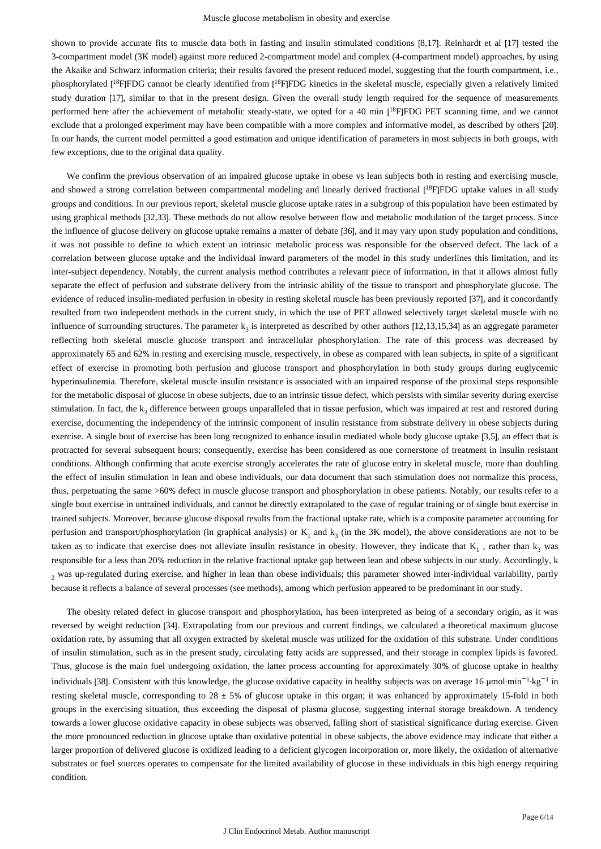shown to provide accurate fits to muscle data both in fasting and insulin stimulated conditions [8,17]. Reinhardt et al [17] tested the 3-compartment model (3K model) against more reduced 2-compartment model and complex (4-compartment model) approaches, by using the Akaike and Schwarz information criteria; their results favored the present reduced model, suggesting that the fourth compartment, i.e., phosphorylated [<sup>18</sup>F]FDG cannot be clearly identified from [<sup>18</sup>F]FDG kinetics in the skeletal muscle, especially given a relatively limited study duration [17], similar to that in the present design. Given the overall study length required for the sequence of measurements performed here after the achievement of metabolic steady-state, we opted for a 40 min  $[{}^{18}F]FDG$  PET scanning time, and we cannot exclude that a prolonged experiment may have been compatible with a more complex and informative model, as described by others [20]. In our hands, the current model permitted a good estimation and unique identification of parameters in most subjects in both groups, with few exceptions, due to the original data quality.

We confirm the previous observation of an impaired glucose uptake in obese vs lean subjects both in resting and exercising muscle, and showed a strong correlation between compartmental modeling and linearly derived fractional  $[1^8F]FDC$  uptake values in all study groups and conditions. In our previous report, skeletal muscle glucose uptake rates in a subgroup of this population have been estimated by using graphical methods [32,33]. These methods do not allow resolve between flow and metabolic modulation of the target process. Since the influence of glucose delivery on glucose uptake remains a matter of debate [36], and it may vary upon study population and conditions, it was not possible to define to which extent an intrinsic metabolic process was responsible for the observed defect. The lack of a correlation between glucose uptake and the individual inward parameters of the model in this study underlines this limitation, and its inter-subject dependency. Notably, the current analysis method contributes a relevant piece of information, in that it allows almost fully separate the effect of perfusion and substrate delivery from the intrinsic ability of the tissue to transport and phosphorylate glucose. The evidence of reduced insulin-mediated perfusion in obesity in resting skeletal muscle has been previously reported [37], and it concordantly resulted from two independent methods in the current study, in which the use of PET allowed selectively target skeletal muscle with no influence of surrounding structures. The parameter  $k_3$  is interpreted as described by other authors [12,13,15,34] as an aggregate parameter reflecting both skeletal muscle glucose transport and intracellular phosphorylation. The rate of this process was decreased by approximately 65 and 62% in resting and exercising muscle, respectively, in obese as compared with lean subjects, in spite of a significant effect of exercise in promoting both perfusion and glucose transport and phosphorylation in both study groups during euglycemic hyperinsulinemia. Therefore, skeletal muscle insulin resistance is associated with an impaired response of the proximal steps responsible for the metabolic disposal of glucose in obese subjects, due to an intrinsic tissue defect, which persists with similar severity during exercise stimulation. In fact, the  $k_3$  difference between groups unparalleled that in tissue perfusion, which was impaired at rest and restored during exercise, documenting the independency of the intrinsic component of insulin resistance from substrate delivery in obese subjects during exercise. A single bout of exercise has been long recognized to enhance insulin mediated whole body glucose uptake [3,5], an effect that is protracted for several subsequent hours; consequently, exercise has been considered as one cornerstone of treatment in insulin resistant conditions. Although confirming that acute exercise strongly accelerates the rate of glucose entry in skeletal muscle, more than doubling the effect of insulin stimulation in lean and obese individuals, our data document that such stimulation does not normalize this process, thus, perpetuating the same >60% defect in muscle glucose transport and phosphorylation in obese patients. Notably, our results refer to a single bout exercise in untrained individuals, and cannot be directly extrapolated to the case of regular training or of single bout exercise in trained subjects. Moreover, because glucose disposal results from the fractional uptake rate, which is a composite parameter accounting for perfusion and transport/phosphorylation (in graphical analysis) or  $K_1$  and  $k_3$  (in the 3K model), the above considerations are not to be taken as to indicate that exercise does not alleviate insulin resistance in obesity. However, they indicate that  $K_1$ , rather than  $k_3$  was responsible for a less than 20% reduction in the relative fractional uptake gap between lean and obese subjects in our study. Accordingly, k was up-regulated during exercise, and higher in lean than obese individuals; this parameter showed inter-individual variability, partly <sup>2</sup> because it reflects a balance of several processes (see methods), among which perfusion appeared to be predominant in our study.

The obesity related defect in glucose transport and phosphorylation, has been interpreted as being of a secondary origin, as it was reversed by weight reduction [34]. Extrapolating from our previous and current findings, we calculated a theoretical maximum glucose oxidation rate, by assuming that all oxygen extracted by skeletal muscle was utilized for the oxidation of this substrate. Under conditions of insulin stimulation, such as in the present study, circulating fatty acids are suppressed, and their storage in complex lipids is favored. Thus, glucose is the main fuel undergoing oxidation, the latter process accounting for approximately 30% of glucose uptake in healthy individuals [38]. Consistent with this knowledge, the glucose oxidative capacity in healthy subjects was on average 16 µmol·min<sup>-1</sup>·kg<sup>-1</sup> in resting skeletal muscle, corresponding to  $28 \pm 5\%$  of glucose uptake in this organ; it was enhanced by approximately 15-fold in both groups in the exercising situation, thus exceeding the disposal of plasma glucose, suggesting internal storage breakdown. A tendency towards a lower glucose oxidative capacity in obese subjects was observed, falling short of statistical significance during exercise. Given the more pronounced reduction in glucose uptake than oxidative potential in obese subjects, the above evidence may indicate that either a larger proportion of delivered glucose is oxidized leading to a deficient glycogen incorporation or, more likely, the oxidation of alternative substrates or fuel sources operates to compensate for the limited availability of glucose in these individuals in this high energy requiring condition.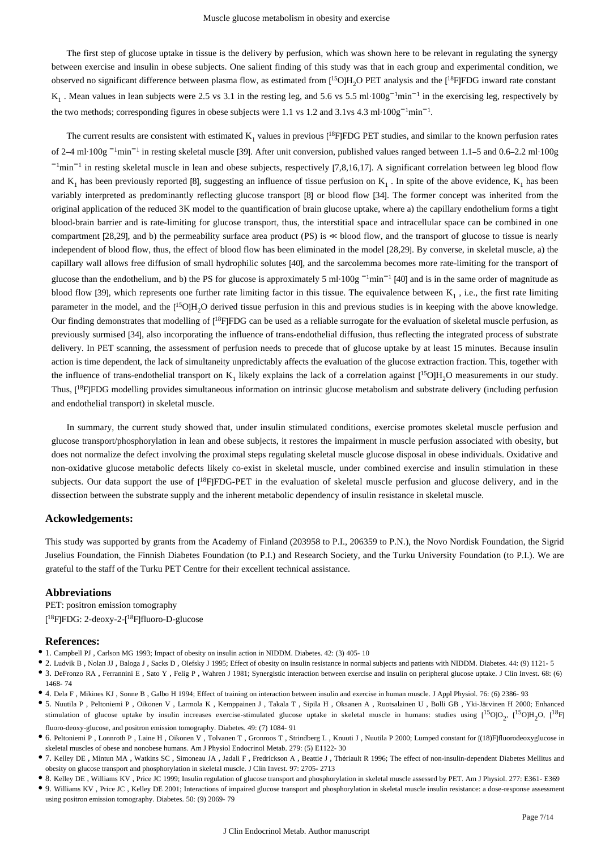The first step of glucose uptake in tissue is the delivery by perfusion, which was shown here to be relevant in regulating the synergy between exercise and insulin in obese subjects. One salient finding of this study was that in each group and experimental condition, we observed no significant difference between plasma flow, as estimated from  $[^{15}O]H_2O$  PET analysis and the  $[^{18}F]FDG$  inward rate constant  $K_1$ . Mean values in lean subjects were 2.5 vs 3.1 in the resting leg, and 5.6 vs 5.5 ml·100g<sup>-1</sup>min<sup>-1</sup> in the exercising leg, respectively by the two methods; corresponding figures in obese subjects were 1.1 vs 1.2 and 3.1vs 4.3 ml·100g<sup>-1</sup>min<sup>-1</sup>.

The current results are consistent with estimated  $K_1$  values in previous  $[{}^{18}F]FDG$  PET studies, and similar to the known perfusion rates of 2–4 ml·100g <sup>-1</sup>min<sup>-1</sup> in resting skeletal muscle [39]. After unit conversion, published values ranged between 1.1–5 and 0.6–2.2 ml·100g <sup>-1</sup>min<sup>-1</sup> in resting skeletal muscle in lean and obese subjects, respectively [7,8,16,17]. A significant correlation between leg blood flow and  $K_1$  has been previously reported [8], suggesting an influence of tissue perfusion on  $K_1$ . In spite of the above evidence,  $K_1$  has been variably interpreted as predominantly reflecting glucose transport [8] or blood flow [34]. The former concept was inherited from the original application of the reduced 3K model to the quantification of brain glucose uptake, where a) the capillary endothelium forms a tight blood-brain barrier and is rate-limiting for glucose transport, thus, the interstitial space and intracellular space can be combined in one compartment [28,29], and b) the permeability surface area product (PS) is ≪ blood flow, and the transport of glucose to tissue is nearly independent of blood flow, thus, the effect of blood flow has been eliminated in the model [28,29]. By converse, in skeletal muscle, a) the capillary wall allows free diffusion of small hydrophilic solutes [40], and the sarcolemma becomes more rate-limiting for the transport of glucose than the endothelium, and b) the PS for glucose is approximately 5 ml·100g<sup>-1</sup>min<sup>-1</sup> [40] and is in the same order of magnitude as blood flow [39], which represents one further rate limiting factor in this tissue. The equivalence between  $K_1$ , i.e., the first rate limiting parameter in the model, and the  $[$ <sup>15</sup>O]H<sub>2</sub>O derived tissue perfusion in this and previous studies is in keeping with the above knowledge. Our finding demonstrates that modelling of  $[$ <sup>18</sup>F|FDG can be used as a reliable surrogate for the evaluation of skeletal muscle perfusion, as previously surmised [34], also incorporating the influence of trans-endothelial diffusion, thus reflecting the integrated process of substrate delivery. In PET scanning, the assessment of perfusion needs to precede that of glucose uptake by at least 15 minutes. Because insulin action is time dependent, the lack of simultaneity unpredictably affects the evaluation of the glucose extraction fraction. This, together with the influence of trans-endothelial transport on  $K_1$  likely explains the lack of a correlation against  $[^{15}O/H_2O$  measurements in our study. Thus,  $[{}^{18}F]FDG$  modelling provides simultaneous information on intrinsic glucose metabolism and substrate delivery (including perfusion and endothelial transport) in skeletal muscle.

In summary, the current study showed that, under insulin stimulated conditions, exercise promotes skeletal muscle perfusion and glucose transport/phosphorylation in lean and obese subjects, it restores the impairment in muscle perfusion associated with obesity, but does not normalize the defect involving the proximal steps regulating skeletal muscle glucose disposal in obese individuals. Oxidative and non-oxidative glucose metabolic defects likely co-exist in skeletal muscle, under combined exercise and insulin stimulation in these subjects. Our data support the use of  $[{}^{18}F]FDG-PET$  in the evaluation of skeletal muscle perfusion and glucose delivery, and in the dissection between the substrate supply and the inherent metabolic dependency of insulin resistance in skeletal muscle.

## **Ackowledgements:**

This study was supported by grants from the Academy of Finland (203958 to P.I., 206359 to P.N.), the Novo Nordisk Foundation, the Sigrid Juselius Foundation, the Finnish Diabetes Foundation (to P.I.) and Research Society, and the Turku University Foundation (to P.I.). We are grateful to the staff of the Turku PET Centre for their excellent technical assistance.

#### **Abbreviations**

PET: positron emission tomography [<sup>18</sup>F]FDG: 2-deoxy-2-[<sup>18</sup>F]fluoro-D-glucose

#### **References:**

- 1. Campbell PJ , Carlson MG 1993; Impact of obesity on insulin action in NIDDM. Diabetes. 42: (3) 405- 10
- 2. Ludvik B , Nolan JJ , Baloga J , Sacks D , Olefsky J 1995; Effect of obesity on insulin resistance in normal subjects and patients with NIDDM. Diabetes. 44: (9) 1121- 5
- 3. DeFronzo RA , Ferrannini E , Sato Y , Felig P , Wahren J 1981; Synergistic interaction between exercise and insulin on peripheral glucose uptake. J Clin Invest. 68: (6) 1468- 74
- 4. Dela F , Mikines KJ , Sonne B , Galbo H 1994; Effect of training on interaction between insulin and exercise in human muscle. J Appl Physiol. 76: (6) 2386- 93
- 5. Nuutila P , Peltoniemi P , Oikonen V , Larmola K , Kemppainen J , Takala T , Sipila H , Oksanen A , Ruotsalainen U , Bolli GB , Yki-Järvinen H 2000; Enhanced stimulation of glucose uptake by insulin increases exercise-stimulated glucose uptake in skeletal muscle in humans: studies using  $[{}^{15}O]O_2$ ,  $[{}^{15}O]H_2O$ ,  $[{}^{18}F]$ fluoro-deoxy-glucose, and positron emission tomography. Diabetes. 49: (7) 1084- 91
- 6. Peltoniemi P , Lonnroth P , Laine H , Oikonen V , Tolvanen T , Gronroos T , Strindberg L , Knuuti J , Nuutila P 2000; Lumped constant for [(18)F]fluorodeoxyglucose in skeletal muscles of obese and nonobese humans. Am J Physiol Endocrinol Metab. 279: (5) E1122- 30
- 7. Kelley DE , Mintun MA , Watkins SC , Simoneau JA , Jadali F , Fredrickson A , Beattie J , Thériault R 1996; The effect of non-insulin-dependent Diabetes Mellitus and obesity on glucose transport and phosphorylation in skeletal muscle. J Clin Invest. 97: 2705- 2713
- 8. Kelley DE , Williams KV , Price JC 1999; Insulin regulation of glucose transport and phosphorylation in skeletal muscle assessed by PET. Am J Physiol. 277: E361- E369
- 9. Williams KV , Price JC , Kelley DE 2001; Interactions of impaired glucose transport and phosphorylation in skeletal muscle insulin resistance: a dose-response assessment using positron emission tomography. Diabetes. 50: (9) 2069- 79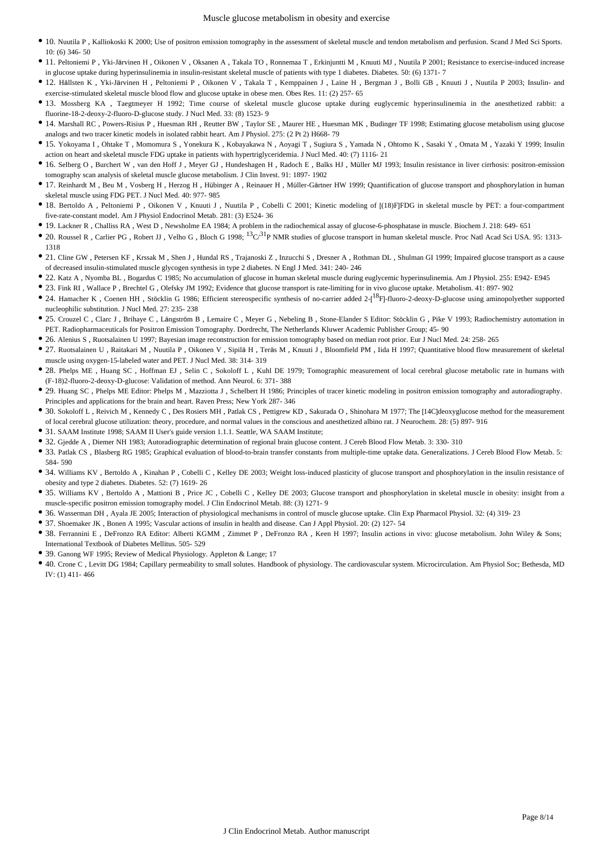- 10. Nuutila P , Kalliokoski K 2000; Use of positron emission tomography in the assessment of skeletal muscle and tendon metabolism and perfusion. Scand J Med Sci Sports. 10: (6) 346- 50
- 11. Peltoniemi P , Yki-Järvinen H , Oikonen V , Oksanen A , Takala TO , Ronnemaa T , Erkinjuntti M , Knuuti MJ , Nuutila P 2001; Resistance to exercise-induced increase in glucose uptake during hyperinsulinemia in insulin-resistant skeletal muscle of patients with type 1 diabetes. Diabetes. 50: (6) 1371- 7
- 12. Hällsten K , Yki-Järvinen H , Peltoniemi P , Oikonen V , Takala T , Kemppainen J , Laine H , Bergman J , Bolli GB , Knuuti J , Nuutila P 2003; Insulin- and exercise-stimulated skeletal muscle blood flow and glucose uptake in obese men. Obes Res. 11: (2) 257- 65
- 13. Mossberg KA , Taegtmeyer H 1992; Time course of skeletal muscle glucose uptake during euglycemic hyperinsulinemia in the anesthetized rabbit: a fluorine-18-2-deoxy-2-fluoro-D-glucose study. J Nucl Med. 33: (8) 1523- 9
- 14. Marshall RC , Powers-Risius P , Huesman RH , Reutter BW , Taylor SE , Maurer HE , Huesman MK , Budinger TF 1998; Estimating glucose metabolism using glucose analogs and two tracer kinetic models in isolated rabbit heart. Am J Physiol. 275: (2 Pt 2) H668- 79
- 15. Yokoyama I , Ohtake T , Momomura S , Yonekura K , Kobayakawa N , Aoyagi T , Sugiura S , Yamada N , Ohtomo K , Sasaki Y , Omata M , Yazaki Y 1999; Insulin action on heart and skeletal muscle FDG uptake in patients with hypertriglyceridemia. J Nucl Med. 40: (7) 1116- 21
- 16. Selberg O , Burchert W , van den Hoff J , Meyer GJ , Hundeshagen H , Radoch E , Balks HJ , Müller MJ 1993; Insulin resistance in liver cirrhosis: positron-emission tomography scan analysis of skeletal muscle glucose metabolism. J Clin Invest. 91: 1897- 1902
- 17. Reinhardt M , Beu M , Vosberg H , Herzog H , Hübinger A , Reinauer H , Müller-Gärtner HW 1999; Quantification of glucose transport and phosphorylation in human skeletal muscle using FDG PET. J Nucl Med. 40: 977- 985
- 18. Bertoldo A , Peltoniemi P , Oikonen V , Knuuti J , Nuutila P , Cobelli C 2001; Kinetic modeling of [(18)F]FDG in skeletal muscle by PET: a four-compartment five-rate-constant model. Am J Physiol Endocrinol Metab. 281: (3) E524- 36
- 19. Lackner R , Challiss RA , West D , Newsholme EA 1984; A problem in the radiochemical assay of glucose-6-phosphatase in muscle. Biochem J. 218: 649- 651
- 20. Roussel R, Carlier PG, Robert JJ, Velho G, Bloch G 1998;  ${}^{13}C/{}^{31}P$  NMR studies of glucose transport in human skeletal muscle. Proc Natl Acad Sci USA. 95: 1313-1318
- 21. Cline GW , Petersen KF , Krssak M , Shen J , Hundal RS , Trajanoski Z , Inzucchi S , Dresner A , Rothman DL , Shulman GI 1999; Impaired glucose transport as a cause of decreased insulin-stimulated muscle glycogen synthesis in type 2 diabetes. N Engl J Med. 341: 240- 246
- 22. Katz A , Nyomba BL , Bogardus C 1985; No accumulation of glucose in human skeletal muscle during euglycemic hyperinsulinemia. Am J Physiol. 255: E942- E945
- 23. Fink RI , Wallace P , Brechtel G , Olefsky JM 1992; Evidence that glucose transport is rate-limiting for in vivo glucose uptake. Metabolism. 41: 897- 902
- 24. Hamacher K, Coenen HH, Stöcklin G 1986; Efficient stereospecific synthesis of no-carrier added  $2-[18F]$ -fluoro-2-deoxy-D-glucose using aminopolyether supported nucleophilic substitution. J Nucl Med. 27: 235- 238
- 25. Crouzel C , Clarc J , Brihaye C , Långström B , Lemaire C , Meyer G , Nebeling B , Stone-Elander S Editor: Stöcklin G , Pike V 1993; Radiochemistry automation in PET. Radiopharmaceuticals for Positron Emission Tomography. Dordrecht, The Netherlands Kluwer Academic Publisher Group; 45- 90
- 26. Alenius S , Ruotsalainen U 1997; Bayesian image reconstruction for emission tomography based on median root prior. Eur J Nucl Med. 24: 258- 265
- 27. Ruotsalainen U , Raitakari M , Nuutila P , Oikonen V , Sipilä H , Teräs M , Knuuti J , Bloomfield PM , Iida H 1997; Quantitative blood flow measurement of skeletal muscle using oxygen-15-labeled water and PET. J Nucl Med. 38: 314- 319
- 28. Phelps ME , Huang SC , Hoffman EJ , Selin C , Sokoloff L , Kuhl DE 1979; Tomographic measurement of local cerebral glucose metabolic rate in humans with (F-18)2-fluoro-2-deoxy-D-glucose: Validation of method. Ann Neurol. 6: 371- 388
- 29. Huang SC , Phelps ME Editor: Phelps M , Mazziotta J , Schelbert H 1986; Principles of tracer kinetic modeling in positron emission tomography and autoradiography. Principles and applications for the brain and heart. Raven Press; New York 287- 346
- 30. Sokoloff L , Reivich M , Kennedy C , Des Rosiers MH , Patlak CS , Pettigrew KD , Sakurada O , Shinohara M 1977; The [14C]deoxyglucose method for the measurement of local cerebral glucose utilization: theory, procedure, and normal values in the conscious and anesthetized albino rat. J Neurochem. 28: (5) 897- 916
- 31. SAAM Institute 1998; SAAM II User's guide version 1.1.1. Seattle, WA SAAM Institute;
- 32. Gjedde A , Diemer NH 1983; Autoradiographic determination of regional brain glucose content. J Cereb Blood Flow Metab. 3: 330- 310
- 33. Patlak CS , Blasberg RG 1985; Graphical evaluation of blood-to-brain transfer constants from multiple-time uptake data. Generalizations. J Cereb Blood Flow Metab. 5: 584- 590
- 34. Williams KV , Bertoldo A , Kinahan P , Cobelli C , Kelley DE 2003; Weight loss-induced plasticity of glucose transport and phosphorylation in the insulin resistance of obesity and type 2 diabetes. Diabetes. 52: (7) 1619- 26
- 35. Williams KV , Bertoldo A , Mattioni B , Price JC , Cobelli C , Kelley DE 2003; Glucose transport and phosphorylation in skeletal muscle in obesity: insight from a muscle-specific positron emission tomography model. J Clin Endocrinol Metab. 88: (3) 1271- 9
- 36. Wasserman DH , Ayala JE 2005; Interaction of physiological mechanisms in control of muscle glucose uptake. Clin Exp Pharmacol Physiol. 32: (4) 319- 23
- 37. Shoemaker JK , Bonen A 1995; Vascular actions of insulin in health and disease. Can J Appl Physiol. 20: (2) 127- 54
- 38. Ferrannini E , DeFronzo RA Editor: Alberti KGMM , Zimmet P , DeFronzo RA , Keen H 1997; Insulin actions in vivo: glucose metabolism. John Wiley & Sons; International Textbook of Diabetes Mellitus. 505- 529
- 39. Ganong WF 1995; Review of Medical Physiology. Appleton & Lange; 17
- 40. Crone C , Levitt DG 1984; Capillary permeability to small solutes. Handbook of physiology. The cardiovascular system. Microcirculation. Am Physiol Soc; Bethesda, MD IV: (1) 411- 466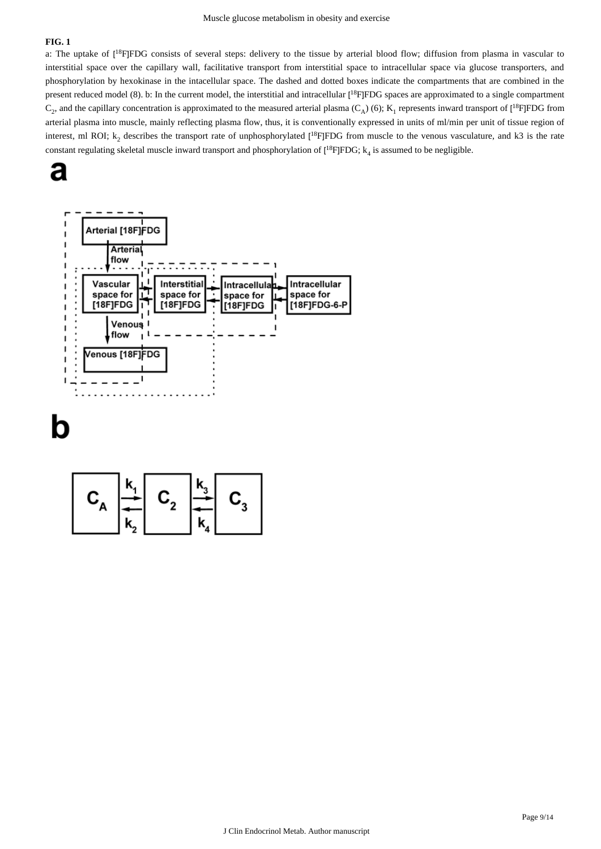# **FIG. 1**

a: The uptake of  $[18F]FDG$  consists of several steps: delivery to the tissue by arterial blood flow; diffusion from plasma in vascular to interstitial space over the capillary wall, facilitative transport from interstitial space to intracellular space via glucose transporters, and phosphorylation by hexokinase in the intacellular space. The dashed and dotted boxes indicate the compartments that are combined in the present reduced model (8). b: In the current model, the interstitial and intracellular [<sup>18</sup>F]FDG spaces are approximated to a single compartment  $C_2$ , and the capillary concentration is approximated to the measured arterial plasma ( $C_A$ ) (6);  $K_1$  represents inward transport of [<sup>18</sup>F]FDG from arterial plasma into muscle, mainly reflecting plasma flow, thus, it is conventionally expressed in units of ml/min per unit of tissue region of interest, ml ROI;  $k_2$  describes the transport rate of unphosphorylated [<sup>18</sup>F]FDG from muscle to the venous vasculature, and k3 is the rate constant regulating skeletal muscle inward transport and phosphorylation of  $[{}^{18}F]FDG; k<sub>4</sub>$  is assumed to be negligible.





h

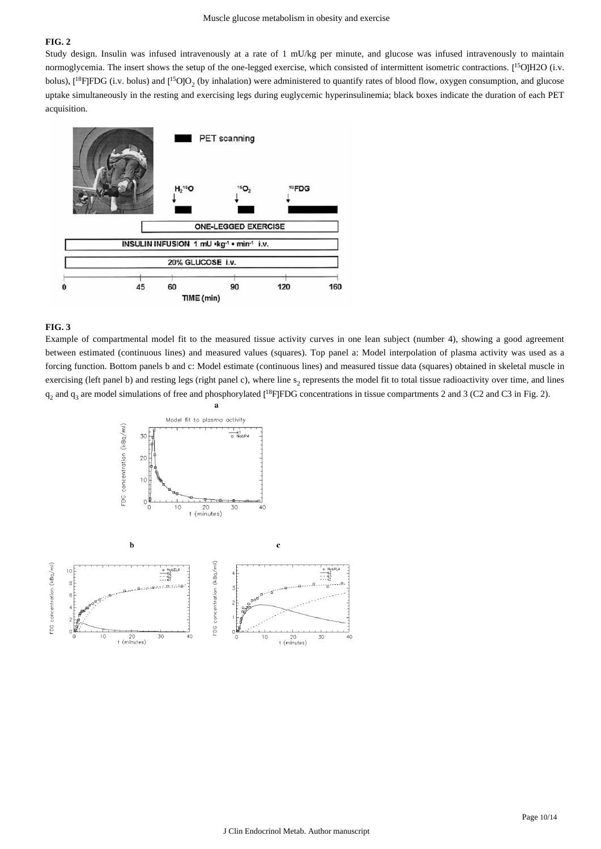# **FIG. 2**

Study design. Insulin was infused intravenously at a rate of 1 mU/kg per minute, and glucose was infused intravenously to maintain normoglycemia. The insert shows the setup of the one-legged exercise, which consisted of intermittent isometric contractions. [<sup>15</sup>O]H2O (i.v. bolus),  $[{}^{18}F]FDG$  (i.v. bolus) and  $[{}^{15}O]O_2$  (by inhalation) were administered to quantify rates of blood flow, oxygen consumption, and glucose uptake simultaneously in the resting and exercising legs during euglycemic hyperinsulinemia; black boxes indicate the duration of each PET acquisition.



## **FIG. 3**

Example of compartmental model fit to the measured tissue activity curves in one lean subject (number 4), showing a good agreement between estimated (continuous lines) and measured values (squares). Top panel a: Model interpolation of plasma activity was used as a forcing function. Bottom panels b and c: Model estimate (continuous lines) and measured tissue data (squares) obtained in skeletal muscle in exercising (left panel b) and resting legs (right panel c), where line  $s_2$  represents the model fit to total tissue radioactivity over time, and lines  $q_2$  and  $q_3$  are model simulations of free and phosphorylated [<sup>18</sup>F]FDG concentrations in tissue compartments 2 and 3 (C2 and C3 in Fig. 2).



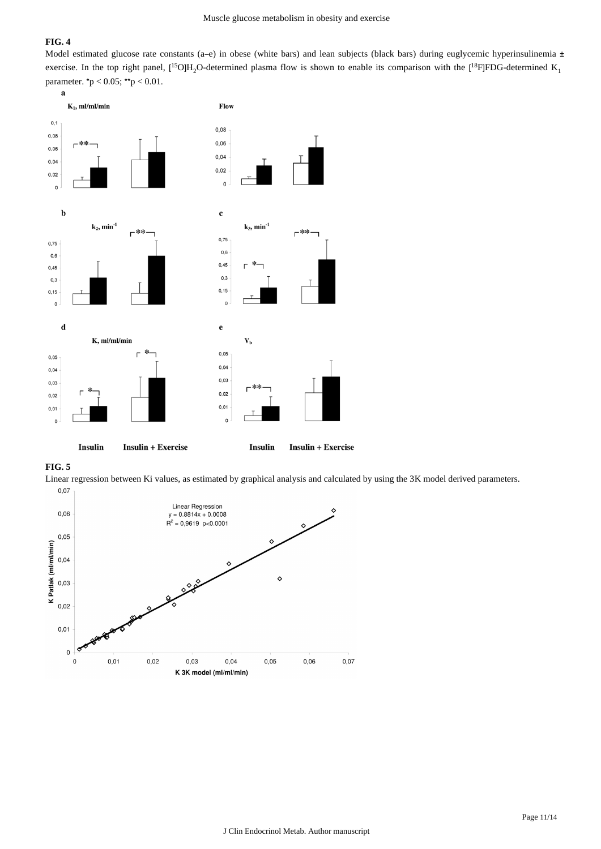# **FIG. 4**

Model estimated glucose rate constants (a–e) in obese (white bars) and lean subjects (black bars) during euglycemic hyperinsulinemia  $\pm$ exercise. In the top right panel,  $[^{15}O]H_2O$ -determined plasma flow is shown to enable its comparison with the  $[^{18}F]FDG$ -determined  $K_1$ parameter. \*p < 0.05; \*\*p < 0.01.





Linear regression between Ki values, as estimated by graphical analysis and calculated by using the 3K model derived parameters. $0,07$ 

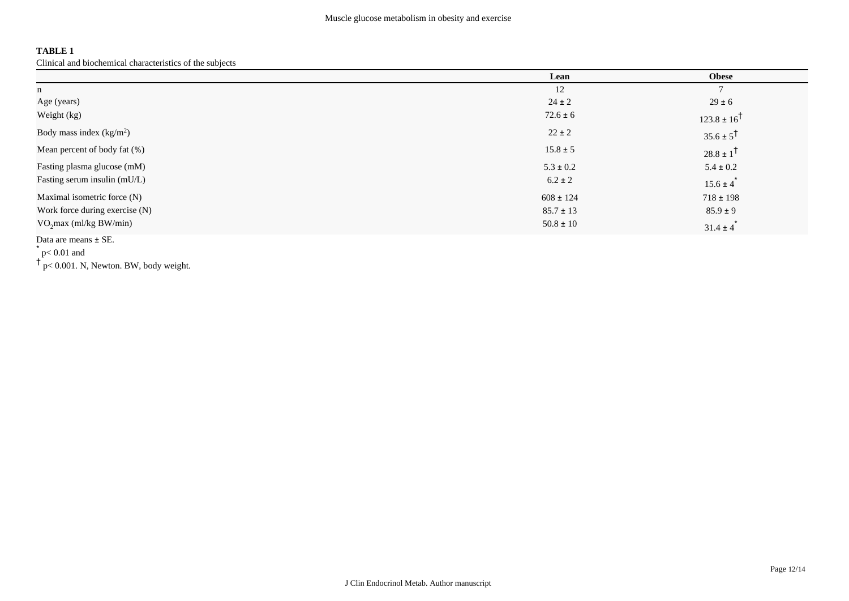# **TABLE 1**

Clinical and biochemical characteristics of the subjects

|                                | Lean          | <b>Obese</b>              |
|--------------------------------|---------------|---------------------------|
| n                              | 12            | $\mathbf{r}$              |
| Age (years)                    | $24 \pm 2$    | $29 \pm 6$                |
| Weight (kg)                    | $72.6 \pm 6$  | $123.8 \pm 16^{\dagger}$  |
| Body mass index $(kg/m2)$      | $22 \pm 2$    | $35.6 \pm 5^{\dagger}$    |
| Mean percent of body fat (%)   | $15.8 \pm 5$  | $28.8 \pm 1^{\dagger}$    |
| Fasting plasma glucose (mM)    | $5.3 \pm 0.2$ | $5.4 \pm 0.2$             |
| Fasting serum insulin (mU/L)   | $6.2 \pm 2$   | $15.6 \pm 4$ <sup>*</sup> |
| Maximal isometric force (N)    | $608 \pm 124$ | $718 \pm 198$             |
| Work force during exercise (N) | $85.7 \pm 13$ | $85.9 \pm 9$              |
| $VO2max$ (ml/kg BW/min)        | $50.8 \pm 10$ | $31.4 \pm 4$              |

Data are means ± SE.

 $*$  p< 0.01 and

† p< 0.001. N, Newton. BW, body weight.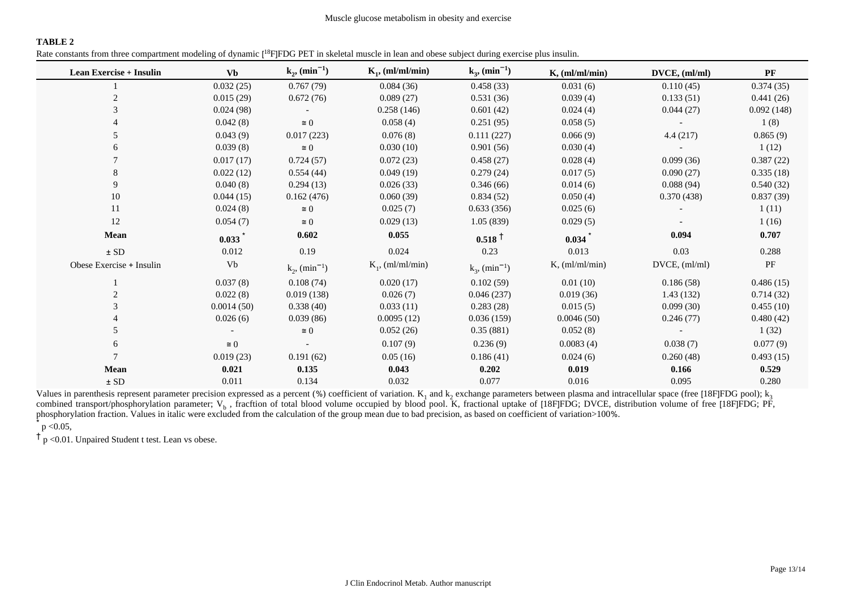# **TABLE 2**

Rate constants from three compartment modeling of dynamic [<sup>18</sup>F]FDG PET in skeletal muscle in lean and obese subject during exercise plus insulin.

| <b>Lean Exercise + Insulin</b> | <b>Vb</b>  | $k_{2}$ , (min <sup>-1</sup> ) | $K_1$ , (ml/ml/min) | $k_{3}$ , (min <sup>-1</sup> ) | $K$ , (ml/ml/min) | DVCE, (ml/ml)      | $\mathbf{P}\mathbf{F}$ |
|--------------------------------|------------|--------------------------------|---------------------|--------------------------------|-------------------|--------------------|------------------------|
|                                | 0.032(25)  | 0.767(79)                      | 0.084(36)           | 0.458(33)                      | 0.031(6)          | 0.110(45)          | 0.374(35)              |
|                                | 0.015(29)  | 0.672(76)                      | 0.089(27)           | 0.531(36)                      | 0.039(4)          | 0.133(51)          | 0.441(26)              |
|                                | 0.024(98)  |                                | 0.258(146)          | 0.601(42)                      | 0.024(4)          | 0.044(27)          | 0.092(148)             |
|                                | 0.042(8)   | $\cong 0$                      | 0.058(4)            | 0.251(95)                      | 0.058(5)          |                    | 1(8)                   |
|                                | 0.043(9)   | 0.017(223)                     | 0.076(8)            | 0.111(227)                     | 0.066(9)          | 4.4(217)           | 0.865(9)               |
|                                | 0.039(8)   | $\cong 0$                      | 0.030(10)           | 0.901(56)                      | 0.030(4)          |                    | 1(12)                  |
|                                | 0.017(17)  | 0.724(57)                      | 0.072(23)           | 0.458(27)                      | 0.028(4)          | 0.099(36)          | 0.387(22)              |
|                                | 0.022(12)  | 0.554(44)                      | 0.049(19)           | 0.279(24)                      | 0.017(5)          | 0.090(27)          | 0.335(18)              |
| 9                              | 0.040(8)   | 0.294(13)                      | 0.026(33)           | 0.346(66)                      | 0.014(6)          | 0.088(94)          | 0.540(32)              |
| 10                             | 0.044(15)  | 0.162(476)                     | 0.060(39)           | 0.834(52)                      | 0.050(4)          | 0.370(438)         | 0.837(39)              |
| 11                             | 0.024(8)   | $\cong 0$                      | 0.025(7)            | 0.633(356)                     | 0.025(6)          |                    | 1(11)                  |
| 12                             | 0.054(7)   | $\cong$ 0                      | 0.029(13)           | 1.05(839)                      | 0.029(5)          |                    | 1(16)                  |
| <b>Mean</b>                    | 0.033      | 0.602                          | 0.055               | $0.518 \text{ }^+$             | 0.034             | 0.094              | 0.707                  |
| $\pm$ SD                       | 0.012      | 0.19                           | 0.024               | 0.23                           | 0.013             | 0.03               | 0.288                  |
| Obese Exercise + Insulin       | Vb         | $k_2$ , (min <sup>-1</sup> )   | $K_1$ , (ml/ml/min) | $k_3$ , (min <sup>-1</sup> )   | $K$ , (ml/ml/min) | $DVCE$ , $(ml/ml)$ | PF                     |
|                                | 0.037(8)   | 0.108(74)                      | 0.020(17)           | 0.102(59)                      | 0.01(10)          | 0.186(58)          | 0.486(15)              |
|                                | 0.022(8)   | 0.019(138)                     | 0.026(7)            | 0.046(237)                     | 0.019(36)         | 1.43(132)          | 0.714(32)              |
|                                | 0.0014(50) | 0.338(40)                      | 0.033(11)           | 0.283(28)                      | 0.015(5)          | 0.099(30)          | 0.455(10)              |
|                                | 0.026(6)   | 0.039(86)                      | 0.0095(12)          | 0.036(159)                     | 0.0046(50)        | 0.246(77)          | 0.480(42)              |
|                                |            | $\cong 0$                      | 0.052(26)           | 0.35(881)                      | 0.052(8)          |                    | 1(32)                  |
|                                | $\cong 0$  |                                | 0.107(9)            | 0.236(9)                       | 0.0083(4)         | 0.038(7)           | 0.077(9)               |
|                                | 0.019(23)  | 0.191(62)                      | 0.05(16)            | 0.186(41)                      | 0.024(6)          | 0.260(48)          | 0.493(15)              |
| <b>Mean</b>                    | 0.021      | 0.135                          | 0.043               | 0.202                          | 0.019             | 0.166              | 0.529                  |
| $\pm$ SD                       | 0.011      | 0.134                          | 0.032               | 0.077                          | 0.016             | 0.095              | 0.280                  |

Values in parenthesis represent parameter precision expressed as a percent (%) coefficient of variation.  $K_1$  and  $k_2$  exchange parameters between plasma and intracellular space (free [18F]FDG pool);  $k_3$ combined transport/phosphorylation parameter;  $V_b$ , fracftion of total blood volume occupied by blood pool. K, fractional uptake of [18F]FDG; DVCE, distribution volume of free [18F]FDG; PF, phosphorylation fraction. Values in italic were excluded from the calculation of the group mean due to bad precision, as based on coefficient of variation>100%.

 $*$  p < 0.05,

 $\dagger$  p < 0.01. Unpaired Student t test. Lean vs obese.